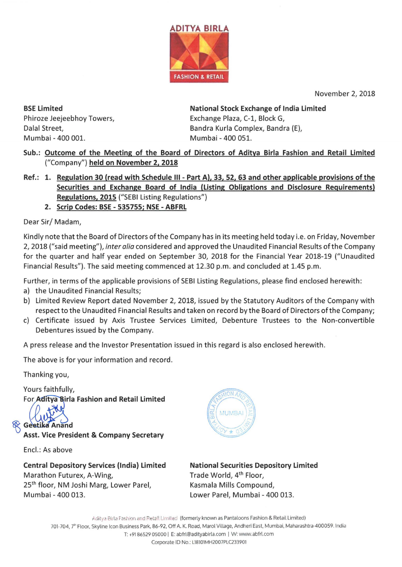

November 2, 2018

**BSE Limited**  Phiroze Jeejeebhoy Towers, Dalal Street, Mumbai - 400 001.

**National Stock Exchange of India Limited**  Exchange Plaza, C-1, Block G, Bandra Kurla Complex, Bandra (E), Mumbai - 400 051.

**Sub.: Outcome of the Meeting of the Board of Directors of Aditya Birla Fashion and Retail Limited**  ("Company") **held on November 2, 2018** 

- **Ref.: 1. Regulation 30 (read with Schedule** Ill **Part A), 33, 52, 63 and other applicable provisions of the Securities and Exchange Board of India (Listing Obligations and Disclosure Requirements) Regulations, 2015** ("SEBI Listing Regulations")
	- **2. Scrip Codes: BSE - 535755; NSE - ABFRL**

Dear Sir/ Madam,

Kindly note that the Board of Directors ofthe Company has in its meeting held today i.e. on Friday, November 2, 2018 ("said meeting"), inter alia considered and approved the Unaudited Financial Results of the Company for the quarter and half year ended on September 30, 2018 for the Financial Year 2018-19 ("Unaudited Financial Results"). The said meeting commenced at 12.30 p.m. and concluded at 1.45 p.m.

Further, in terms of the applicable provisions of SEBI Listing Regulations, please find enclosed herewith:

- a) the Unaudited Financial Results;
- b) Limited Review Report dated November 2, 2018, issued by the Statutory Auditors of the Company with respect to the Unaudited Financial Results and taken on record by the Board of Directors ofthe Company;
- c) Certificate issued by Axis Trustee Services Limited, Debenture Trustees to the Non-convertible Debentures issued by the Company.

A press release and the Investor Presentation issued in this regard is also enclosed herewith.

The above is for your information and record.

Thanking you,

Yours faithfully, **For Aditya Birla Fashion and Retail Limited** 

**Geetika Anand Asst. Vice President & Company Secretary** 

Encl.: As above

**Central Depository Services (India) Limited**  Marathon Futurex, A-Wing, 25th floor, NM Joshi Marg, Lower Parel, Mumbai - 400 013.



**National Securities Depository Limited**  Trade World, 4th Floor, Kasmala Mills Compound, Lower Parel, Mumbai - 400 013.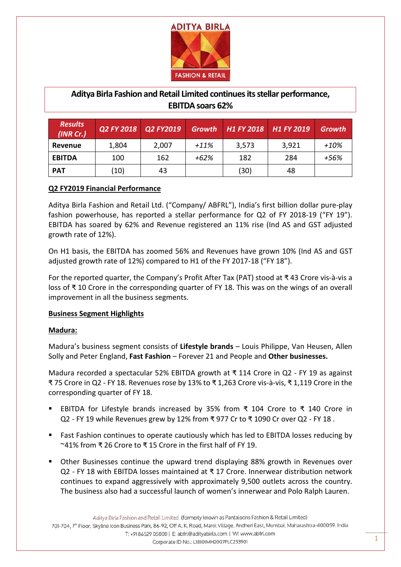

# **Aditya Birla Fashion and Retail Limited continues its stellar performance, EBITDA soars 62%**

| <b>Results</b><br>(INR Cr.) | Q2 FY 2018 | Q2 FY2019 | <b>Growth</b> | H <sub>1</sub> FY 2018 H <sub>1</sub> FY 2019 |       | <b>Growth</b> |
|-----------------------------|------------|-----------|---------------|-----------------------------------------------|-------|---------------|
| Revenue                     | 1,804      | 2,007     | $+11%$        | 3,573                                         | 3,921 | $+10%$        |
| <b>EBITDA</b>               | 100        | 162       | $+62%$        | 182                                           | 284   | +56%          |
| <b>PAT</b>                  | (10)       | 43        |               | (30)                                          | 48    |               |

# **Q2 FY2019 Financial Performance**

Aditya Birla Fashion and Retail Ltd. ("Company/ ABFRL"), India's first billion dollar pure-play fashion powerhouse, has reported a stellar performance for Q2 of FY 2018-19 ("FY 19"). EBITDA has soared by 62% and Revenue registered an 11% rise (Ind AS and GST adjusted growth rate of 12%).

On H1 basis, the EBITDA has zoomed 56% and Revenues have grown 10% (Ind AS and GST adjusted growth rate of 12%) compared to H1 of the FY 2017-18 ("FY 18").

For the reported quarter, the Company's Profit After Tax (PAT) stood at ₹ 43 Crore vis-à-vis a loss of ₹ 10 Crore in the corresponding quarter of FY 18. This was on the wings of an overall improvement in all the business segments.

### **Business Segment Highlights**

### **Madura:**

Madura's business segment consists of **Lifestyle brands** – Louis Philippe, Van Heusen, Allen Solly and Peter England, **Fast Fashion** – Forever 21 and People and **Other businesses.**

Madura recorded a spectacular 52% EBITDA growth at  $\bar{x}$  114 Crore in Q2 - FY 19 as against ₹ 75 Crore in Q2 - FY 18. Revenues rose by 13% to ₹ 1,263 Crore vis-à-vis, ₹ 1,119 Crore in the corresponding quarter of FY 18.

- EBITDA for Lifestyle brands increased by 35% from ₹ 104 Crore to ₹ 140 Crore in Q2 - FY 19 while Revenues grew by 12% from ₹ 977 Cr to ₹ 1090 Cr over Q2 - FY 18 .
- **Fast Fashion continues to operate cautiously which has led to EBITDA losses reducing by** ~41% from ₹ 26 Crore to ₹ 15 Crore in the first half of FY 19.
- Other Businesses continue the upward trend displaying 88% growth in Revenues over Q2 - FY 18 with EBITDA losses maintained at ₹ 17 Crore. Innerwear distribution network continues to expand aggressively with approximately 9,500 outlets across the country. The business also had a successful launch of women's innerwear and Polo Ralph Lauren.